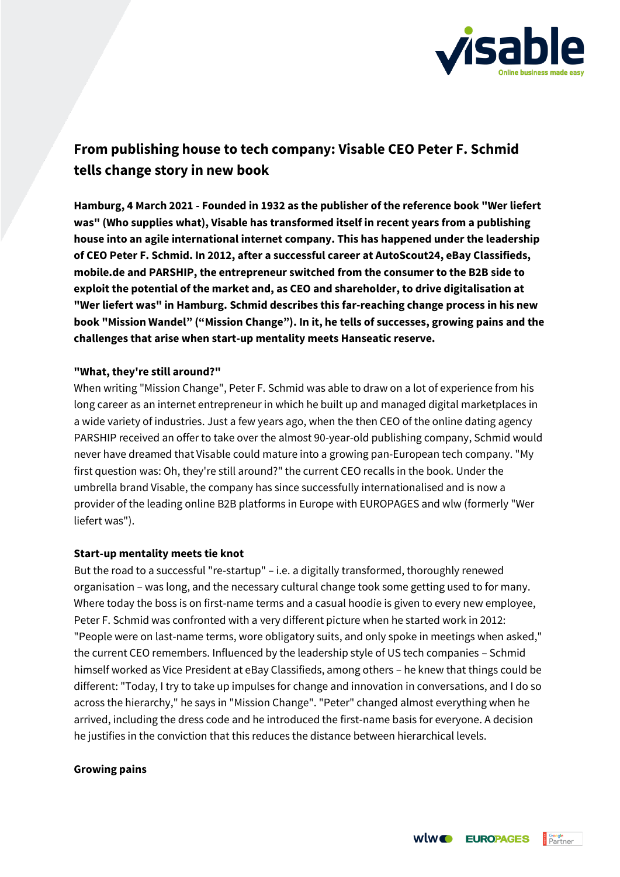

# **From publishing house to tech company: Visable CEO Peter F. Schmid tells change story in new book**

**Hamburg, 4 March 2021 - Founded in 1932 as the publisher of the reference book "Wer liefert was" (Who supplies what), Visable has transformed itself in recent years from a publishing house into an agile international internet company. This has happened under the leadership of CEO Peter F. Schmid. In 2012, after a successful career at AutoScout24, eBay Classifieds, mobile.de and PARSHIP, the entrepreneur switched from the consumer to the B2B side to exploit the potential of the market and, as CEO and shareholder, to drive digitalisation at "Wer liefert was" in Hamburg. Schmid describes this far-reaching change process in his new book "Mission Wandel" ("Mission Change"). In it, he tells of successes, growing pains and the challenges that arise when start-up mentality meets Hanseatic reserve.** 

## **"What, they're still around?"**

When writing "Mission Change", Peter F. Schmid was able to draw on a lot of experience from his long career as an internet entrepreneur in which he built up and managed digital marketplaces in a wide variety of industries. Just a few years ago, when the then CEO of the online dating agency PARSHIP received an offer to take over the almost 90-year-old publishing company, Schmid would never have dreamed that Visable could mature into a growing pan-European tech company. "My first question was: Oh, they're still around?" the current CEO recalls in the book. Under the umbrella brand Visable, the company has since successfully internationalised and is now a provider of the leading online B2B platforms in Europe with EUROPAGES and wlw (formerly "Wer liefert was").

# **Start-up mentality meets tie knot**

But the road to a successful "re-startup" – i.e. a digitally transformed, thoroughly renewed organisation – was long, and the necessary cultural change took some getting used to for many. Where today the boss is on first-name terms and a casual hoodie is given to every new employee, Peter F. Schmid was confronted with a very different picture when he started work in 2012: "People were on last-name terms, wore obligatory suits, and only spoke in meetings when asked," the current CEO remembers. Influenced by the leadership style of US tech companies – Schmid himself worked as Vice President at eBay Classifieds, among others – he knew that things could be different: "Today, I try to take up impulses for change and innovation in conversations, and I do so across the hierarchy," he says in "Mission Change". "Peter" changed almost everything when he arrived, including the dress code and he introduced the first-name basis for everyone. A decision he justifies in the conviction that this reduces the distance between hierarchical levels.

#### **Growing pains**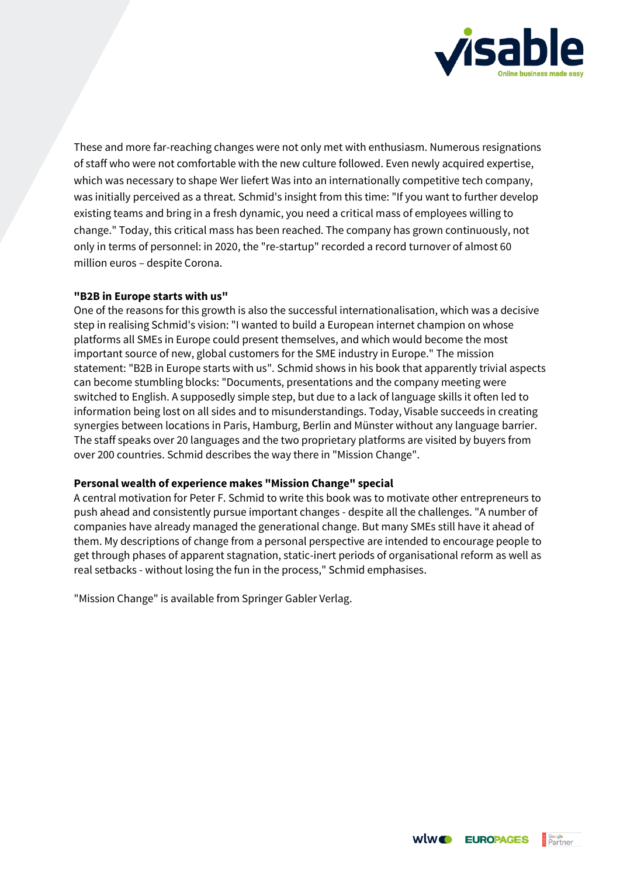

These and more far-reaching changes were not only met with enthusiasm. Numerous resignations of staff who were not comfortable with the new culture followed. Even newly acquired expertise, which was necessary to shape Wer liefert Was into an internationally competitive tech company, was initially perceived as a threat. Schmid's insight from this time: "If you want to further develop existing teams and bring in a fresh dynamic, you need a critical mass of employees willing to change." Today, this critical mass has been reached. The company has grown continuously, not only in terms of personnel: in 2020, the "re-startup" recorded a record turnover of almost 60 million euros – despite Corona.

## **"B2B in Europe starts with us"**

One of the reasons for this growth is also the successful internationalisation, which was a decisive step in realising Schmid's vision: "I wanted to build a European internet champion on whose platforms all SMEs in Europe could present themselves, and which would become the most important source of new, global customers for the SME industry in Europe." The mission statement: "B2B in Europe starts with us". Schmid shows in his book that apparently trivial aspects can become stumbling blocks: "Documents, presentations and the company meeting were switched to English. A supposedly simple step, but due to a lack of language skills it often led to information being lost on all sides and to misunderstandings. Today, Visable succeeds in creating synergies between locations in Paris, Hamburg, Berlin and Münster without any language barrier. The staff speaks over 20 languages and the two proprietary platforms are visited by buyers from over 200 countries. Schmid describes the way there in "Mission Change".

# **Personal wealth of experience makes "Mission Change" special**

A central motivation for Peter F. Schmid to write this book was to motivate other entrepreneurs to push ahead and consistently pursue important changes - despite all the challenges. "A number of companies have already managed the generational change. But many SMEs still have it ahead of them. My descriptions of change from a personal perspective are intended to encourage people to get through phases of apparent stagnation, static-inert periods of organisational reform as well as real setbacks - without losing the fun in the process," Schmid emphasises.

"Mission Change" is available from Springer Gabler Verlag.